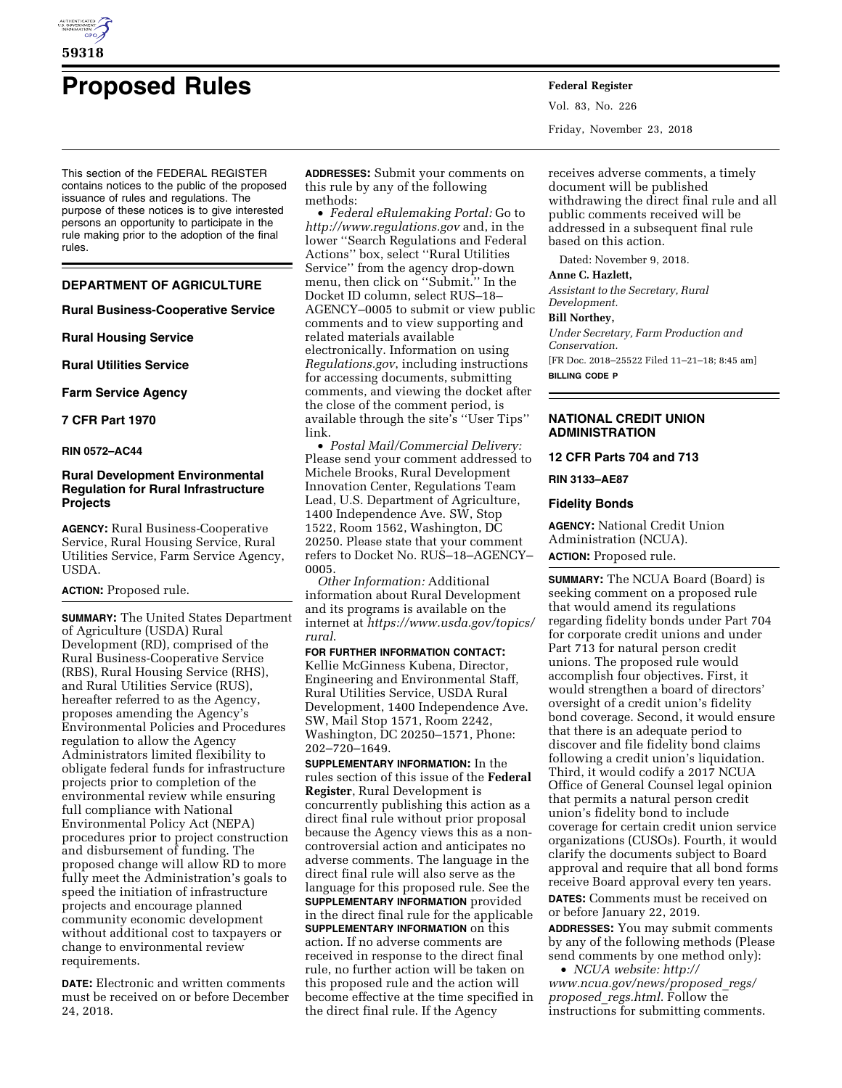

# **Proposed Rules Federal Register**

This section of the FEDERAL REGISTER contains notices to the public of the proposed issuance of rules and regulations. The purpose of these notices is to give interested persons an opportunity to participate in the rule making prior to the adoption of the final rules.

# **DEPARTMENT OF AGRICULTURE**

# **Rural Business-Cooperative Service**

**Rural Housing Service** 

**Rural Utilities Service** 

**Farm Service Agency** 

# **7 CFR Part 1970**

# **RIN 0572–AC44**

# **Rural Development Environmental Regulation for Rural Infrastructure Projects**

**AGENCY:** Rural Business-Cooperative Service, Rural Housing Service, Rural Utilities Service, Farm Service Agency, USDA.

# **ACTION:** Proposed rule.

**SUMMARY:** The United States Department of Agriculture (USDA) Rural Development (RD), comprised of the Rural Business-Cooperative Service (RBS), Rural Housing Service (RHS), and Rural Utilities Service (RUS), hereafter referred to as the Agency, proposes amending the Agency's Environmental Policies and Procedures regulation to allow the Agency Administrators limited flexibility to obligate federal funds for infrastructure projects prior to completion of the environmental review while ensuring full compliance with National Environmental Policy Act (NEPA) procedures prior to project construction and disbursement of funding. The proposed change will allow RD to more fully meet the Administration's goals to speed the initiation of infrastructure projects and encourage planned community economic development without additional cost to taxpayers or change to environmental review requirements.

**DATE:** Electronic and written comments must be received on or before December 24, 2018.

**ADDRESSES:** Submit your comments on this rule by any of the following methods:

• *Federal eRulemaking Portal:* Go to *<http://www.regulations.gov>* and, in the lower ''Search Regulations and Federal Actions'' box, select ''Rural Utilities Service'' from the agency drop-down menu, then click on ''Submit.'' In the Docket ID column, select RUS–18– AGENCY–0005 to submit or view public comments and to view supporting and related materials available electronically. Information on using *Regulations.gov*, including instructions for accessing documents, submitting comments, and viewing the docket after the close of the comment period, is available through the site's ''User Tips'' link.

• *Postal Mail/Commercial Delivery:*  Please send your comment addressed to Michele Brooks, Rural Development Innovation Center, Regulations Team Lead, U.S. Department of Agriculture, 1400 Independence Ave. SW, Stop 1522, Room 1562, Washington, DC 20250. Please state that your comment refers to Docket No. RUS–18–AGENCY– 0005.

*Other Information:* Additional information about Rural Development and its programs is available on the internet at *[https://www.usda.gov/topics/](https://www.usda.gov/topics/rural)  [rural](https://www.usda.gov/topics/rural)*.

**FOR FURTHER INFORMATION CONTACT:**  Kellie McGinness Kubena, Director, Engineering and Environmental Staff, Rural Utilities Service, USDA Rural Development, 1400 Independence Ave. SW, Mail Stop 1571, Room 2242, Washington, DC 20250–1571, Phone: 202–720–1649.

**SUPPLEMENTARY INFORMATION:** In the rules section of this issue of the **Federal Register**, Rural Development is concurrently publishing this action as a direct final rule without prior proposal because the Agency views this as a noncontroversial action and anticipates no adverse comments. The language in the direct final rule will also serve as the language for this proposed rule. See the **SUPPLEMENTARY INFORMATION** provided in the direct final rule for the applicable **SUPPLEMENTARY INFORMATION** on this action. If no adverse comments are received in response to the direct final rule, no further action will be taken on this proposed rule and the action will become effective at the time specified in the direct final rule. If the Agency

Vol. 83, No. 226 Friday, November 23, 2018

receives adverse comments, a timely document will be published withdrawing the direct final rule and all public comments received will be addressed in a subsequent final rule based on this action.

Dated: November 9, 2018.

#### **Anne C. Hazlett,**

*Assistant to the Secretary, Rural Development.* 

# **Bill Northey,**

*Under Secretary, Farm Production and Conservation.*  [FR Doc. 2018–25522 Filed 11–21–18; 8:45 am] **BILLING CODE P** 

# **NATIONAL CREDIT UNION ADMINISTRATION**

**12 CFR Parts 704 and 713** 

# **RIN 3133–AE87**

# **Fidelity Bonds**

**AGENCY:** National Credit Union Administration (NCUA). **ACTION:** Proposed rule.

**SUMMARY:** The NCUA Board (Board) is seeking comment on a proposed rule that would amend its regulations regarding fidelity bonds under Part 704 for corporate credit unions and under Part 713 for natural person credit unions. The proposed rule would accomplish four objectives. First, it would strengthen a board of directors' oversight of a credit union's fidelity bond coverage. Second, it would ensure that there is an adequate period to discover and file fidelity bond claims following a credit union's liquidation. Third, it would codify a 2017 NCUA Office of General Counsel legal opinion that permits a natural person credit union's fidelity bond to include coverage for certain credit union service organizations (CUSOs). Fourth, it would clarify the documents subject to Board approval and require that all bond forms receive Board approval every ten years. **DATES:** Comments must be received on

or before January 22, 2019.

**ADDRESSES:** You may submit comments by any of the following methods (Please send comments by one method only):

• *NCUA website: [http://](http://www.ncua.gov/news/proposed_regs/proposed_regs.html) [www.ncua.gov/news/proposed](http://www.ncua.gov/news/proposed_regs/proposed_regs.html)*\_*regs/ [proposed](http://www.ncua.gov/news/proposed_regs/proposed_regs.html)*\_*regs.html*. Follow the instructions for submitting comments.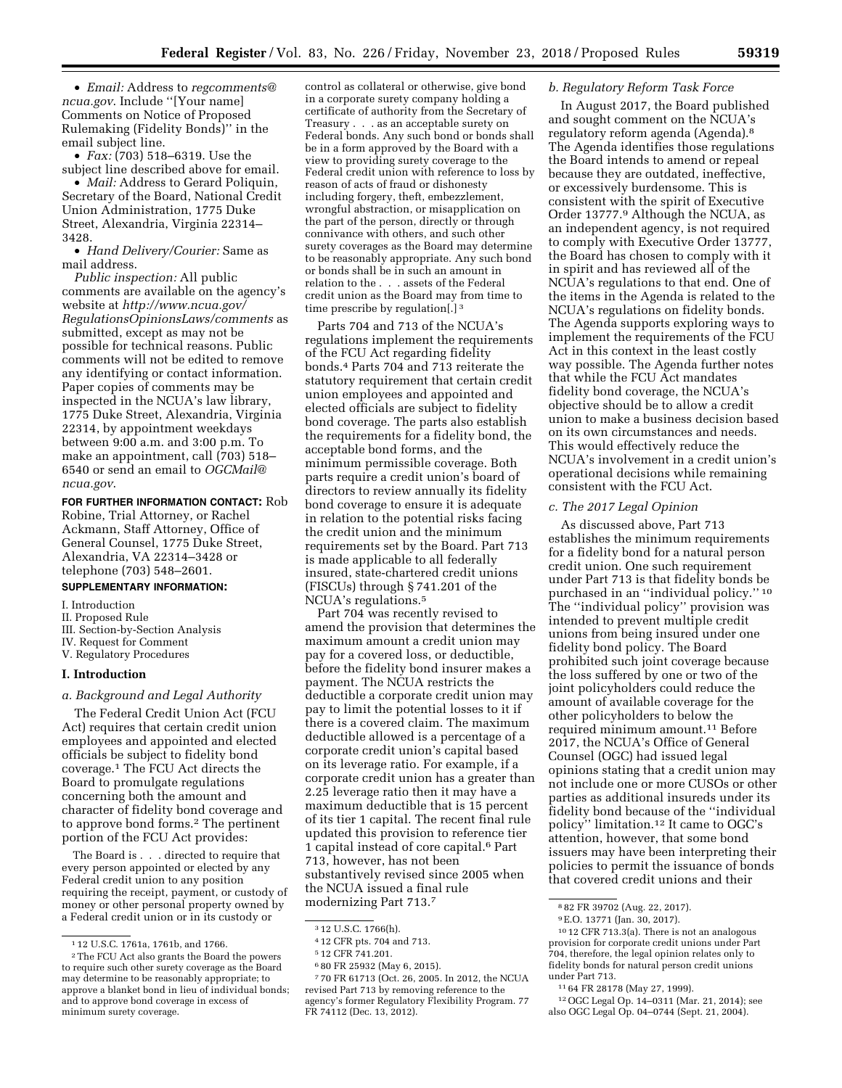• *Email:* Address to *[regcomments@](mailto:regcomments@ncua.gov)*

*[ncua.gov](mailto:regcomments@ncua.gov)*. Include ''[Your name] Comments on Notice of Proposed Rulemaking (Fidelity Bonds)'' in the email subject line.

• *Fax:* (703) 518–6319. Use the subject line described above for email.

• *Mail:* Address to Gerard Poliquin, Secretary of the Board, National Credit Union Administration, 1775 Duke Street, Alexandria, Virginia 22314– 3428.

• *Hand Delivery/Courier:* Same as mail address.

*Public inspection:* All public comments are available on the agency's website at *[http://www.ncua.gov/](http://www.ncua.gov/RegulationsOpinionsLaws/comments) [RegulationsOpinionsLaws/comments](http://www.ncua.gov/RegulationsOpinionsLaws/comments)* as submitted, except as may not be possible for technical reasons. Public comments will not be edited to remove any identifying or contact information. Paper copies of comments may be inspected in the NCUA's law library, 1775 Duke Street, Alexandria, Virginia 22314, by appointment weekdays between 9:00 a.m. and 3:00 p.m. To make an appointment, call (703) 518– 6540 or send an email to *[OGCMail@](mailto:OGCMail@ncua.gov) [ncua.gov](mailto:OGCMail@ncua.gov)*.

# **FOR FURTHER INFORMATION CONTACT:** Rob

Robine, Trial Attorney, or Rachel Ackmann, Staff Attorney, Office of General Counsel, 1775 Duke Street, Alexandria, VA 22314–3428 or telephone (703) 548–2601.

# **SUPPLEMENTARY INFORMATION:**

- I. Introduction
- II. Proposed Rule
- III. Section-by-Section Analysis
- IV. Request for Comment V. Regulatory Procedures

# **I. Introduction**

#### *a. Background and Legal Authority*

The Federal Credit Union Act (FCU Act) requires that certain credit union employees and appointed and elected officials be subject to fidelity bond coverage.1 The FCU Act directs the Board to promulgate regulations concerning both the amount and character of fidelity bond coverage and to approve bond forms.<sup>2</sup> The pertinent portion of the FCU Act provides:

The Board is . . . directed to require that every person appointed or elected by any Federal credit union to any position requiring the receipt, payment, or custody of money or other personal property owned by a Federal credit union or in its custody or

control as collateral or otherwise, give bond in a corporate surety company holding a certificate of authority from the Secretary of Treasury . . . as an acceptable surety on Federal bonds. Any such bond or bonds shall be in a form approved by the Board with a view to providing surety coverage to the Federal credit union with reference to loss by reason of acts of fraud or dishonesty including forgery, theft, embezzlement, wrongful abstraction, or misapplication on the part of the person, directly or through connivance with others, and such other surety coverages as the Board may determine to be reasonably appropriate. Any such bond or bonds shall be in such an amount in relation to the . . . assets of the Federal credit union as the Board may from time to time prescribe by regulation[.] 3

Parts 704 and 713 of the NCUA's regulations implement the requirements of the FCU Act regarding fidelity bonds.4 Parts 704 and 713 reiterate the statutory requirement that certain credit union employees and appointed and elected officials are subject to fidelity bond coverage. The parts also establish the requirements for a fidelity bond, the acceptable bond forms, and the minimum permissible coverage. Both parts require a credit union's board of directors to review annually its fidelity bond coverage to ensure it is adequate in relation to the potential risks facing the credit union and the minimum requirements set by the Board. Part 713 is made applicable to all federally insured, state-chartered credit unions (FISCUs) through § 741.201 of the NCUA's regulations.5

Part 704 was recently revised to amend the provision that determines the maximum amount a credit union may pay for a covered loss, or deductible, before the fidelity bond insurer makes a payment. The NCUA restricts the deductible a corporate credit union may pay to limit the potential losses to it if there is a covered claim. The maximum deductible allowed is a percentage of a corporate credit union's capital based on its leverage ratio. For example, if a corporate credit union has a greater than 2.25 leverage ratio then it may have a maximum deductible that is 15 percent of its tier 1 capital. The recent final rule updated this provision to reference tier 1 capital instead of core capital.6 Part 713, however, has not been substantively revised since 2005 when the NCUA issued a final rule modernizing Part 713.7

6 80 FR 25932 (May 6, 2015).

7 70 FR 61713 (Oct. 26, 2005. In 2012, the NCUA revised Part 713 by removing reference to the agency's former Regulatory Flexibility Program. 77 FR 74112 (Dec. 13, 2012).

# *b. Regulatory Reform Task Force*

In August 2017, the Board published and sought comment on the NCUA's regulatory reform agenda (Agenda).8 The Agenda identifies those regulations the Board intends to amend or repeal because they are outdated, ineffective, or excessively burdensome. This is consistent with the spirit of Executive Order 13777.9 Although the NCUA, as an independent agency, is not required to comply with Executive Order 13777, the Board has chosen to comply with it in spirit and has reviewed all of the NCUA's regulations to that end. One of the items in the Agenda is related to the NCUA's regulations on fidelity bonds. The Agenda supports exploring ways to implement the requirements of the FCU Act in this context in the least costly way possible. The Agenda further notes that while the FCU Act mandates fidelity bond coverage, the NCUA's objective should be to allow a credit union to make a business decision based on its own circumstances and needs. This would effectively reduce the NCUA's involvement in a credit union's operational decisions while remaining consistent with the FCU Act.

# *c. The 2017 Legal Opinion*

As discussed above, Part 713 establishes the minimum requirements for a fidelity bond for a natural person credit union. One such requirement under Part 713 is that fidelity bonds be purchased in an ''individual policy.'' 10 The ''individual policy'' provision was intended to prevent multiple credit unions from being insured under one fidelity bond policy. The Board prohibited such joint coverage because the loss suffered by one or two of the joint policyholders could reduce the amount of available coverage for the other policyholders to below the required minimum amount.11 Before 2017, the NCUA's Office of General Counsel (OGC) had issued legal opinions stating that a credit union may not include one or more CUSOs or other parties as additional insureds under its fidelity bond because of the ''individual policy'' limitation.12 It came to OGC's attention, however, that some bond issuers may have been interpreting their policies to permit the issuance of bonds that covered credit unions and their

11 64 FR 28178 (May 27, 1999).

<sup>1</sup> 12 U.S.C. 1761a, 1761b, and 1766.

<sup>2</sup>The FCU Act also grants the Board the powers to require such other surety coverage as the Board may determine to be reasonably appropriate; to approve a blanket bond in lieu of individual bonds; and to approve bond coverage in excess of minimum surety coverage.

<sup>3</sup> 12 U.S.C. 1766(h).

<sup>4</sup> 12 CFR pts. 704 and 713.

<sup>5</sup> 12 CFR 741.201.

<sup>8</sup> 82 FR 39702 (Aug. 22, 2017).

<sup>9</sup>E.O. 13771 (Jan. 30, 2017).

<sup>10</sup> 12 CFR 713.3(a). There is not an analogous provision for corporate credit unions under Part 704, therefore, the legal opinion relates only to fidelity bonds for natural person credit unions under Part 713.

<sup>12</sup>OGC Legal Op. 14–0311 (Mar. 21, 2014); see also OGC Legal Op. 04–0744 (Sept. 21, 2004).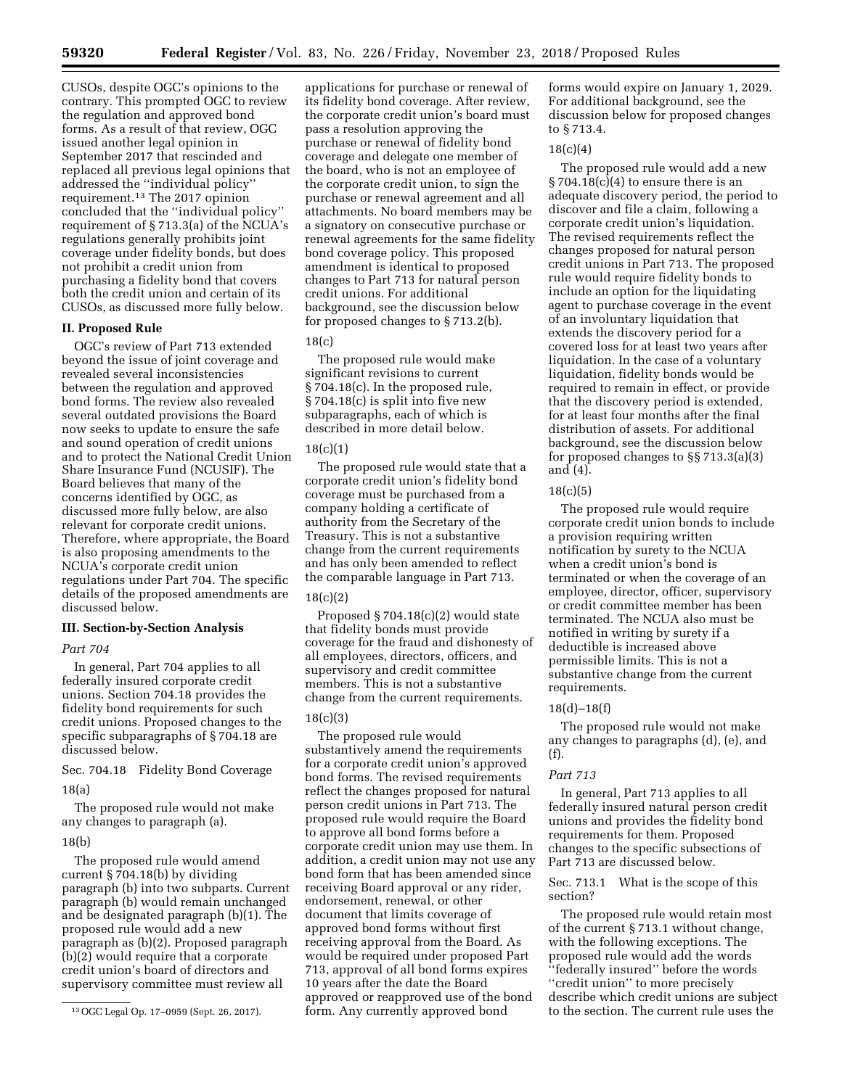CUSOs, despite OGC's opinions to the contrary. This prompted OGC to review the regulation and approved bond forms. As a result of that review, OGC issued another legal opinion in September 2017 that rescinded and replaced all previous legal opinions that addressed the ''individual policy'' requirement.13 The 2017 opinion concluded that the ''individual policy'' requirement of § 713.3(a) of the NCUA's regulations generally prohibits joint coverage under fidelity bonds, but does not prohibit a credit union from purchasing a fidelity bond that covers both the credit union and certain of its CUSOs, as discussed more fully below.

#### **II. Proposed Rule**

OGC's review of Part 713 extended beyond the issue of joint coverage and revealed several inconsistencies between the regulation and approved bond forms. The review also revealed several outdated provisions the Board now seeks to update to ensure the safe and sound operation of credit unions and to protect the National Credit Union Share Insurance Fund (NCUSIF). The Board believes that many of the concerns identified by OGC, as discussed more fully below, are also relevant for corporate credit unions. Therefore, where appropriate, the Board is also proposing amendments to the NCUA's corporate credit union regulations under Part 704. The specific details of the proposed amendments are discussed below.

#### **III. Section-by-Section Analysis**

# *Part 704*

In general, Part 704 applies to all federally insured corporate credit unions. Section 704.18 provides the fidelity bond requirements for such credit unions. Proposed changes to the specific subparagraphs of § 704.18 are discussed below.

Sec. 704.18 Fidelity Bond Coverage 18(a)

The proposed rule would not make any changes to paragraph (a).

#### 18(b)

The proposed rule would amend current § 704.18(b) by dividing paragraph (b) into two subparts. Current paragraph (b) would remain unchanged and be designated paragraph (b)(1). The proposed rule would add a new paragraph as (b)(2). Proposed paragraph (b)(2) would require that a corporate credit union's board of directors and supervisory committee must review all

applications for purchase or renewal of its fidelity bond coverage. After review, the corporate credit union's board must pass a resolution approving the purchase or renewal of fidelity bond coverage and delegate one member of the board, who is not an employee of the corporate credit union, to sign the purchase or renewal agreement and all attachments. No board members may be a signatory on consecutive purchase or renewal agreements for the same fidelity bond coverage policy. This proposed amendment is identical to proposed changes to Part 713 for natural person credit unions. For additional background, see the discussion below for proposed changes to § 713.2(b).

# 18(c)

The proposed rule would make significant revisions to current § 704.18(c). In the proposed rule, § 704.18(c) is split into five new subparagraphs, each of which is described in more detail below.

### 18(c)(1)

The proposed rule would state that a corporate credit union's fidelity bond coverage must be purchased from a company holding a certificate of authority from the Secretary of the Treasury. This is not a substantive change from the current requirements and has only been amended to reflect the comparable language in Part 713.

# 18(c)(2)

Proposed § 704.18(c)(2) would state that fidelity bonds must provide coverage for the fraud and dishonesty of all employees, directors, officers, and supervisory and credit committee members. This is not a substantive change from the current requirements.

#### 18(c)(3)

The proposed rule would substantively amend the requirements for a corporate credit union's approved bond forms. The revised requirements reflect the changes proposed for natural person credit unions in Part 713. The proposed rule would require the Board to approve all bond forms before a corporate credit union may use them. In addition, a credit union may not use any bond form that has been amended since receiving Board approval or any rider, endorsement, renewal, or other document that limits coverage of approved bond forms without first receiving approval from the Board. As would be required under proposed Part 713, approval of all bond forms expires 10 years after the date the Board approved or reapproved use of the bond form. Any currently approved bond

forms would expire on January 1, 2029. For additional background, see the discussion below for proposed changes to § 713.4.

## $18(c)(4)$

The proposed rule would add a new  $§ 704.18(c)(4)$  to ensure there is an adequate discovery period, the period to discover and file a claim, following a corporate credit union's liquidation. The revised requirements reflect the changes proposed for natural person credit unions in Part 713. The proposed rule would require fidelity bonds to include an option for the liquidating agent to purchase coverage in the event of an involuntary liquidation that extends the discovery period for a covered loss for at least two years after liquidation. In the case of a voluntary liquidation, fidelity bonds would be required to remain in effect, or provide that the discovery period is extended, for at least four months after the final distribution of assets. For additional background, see the discussion below for proposed changes to §§ 713.3(a)(3) and (4).

#### 18(c)(5)

The proposed rule would require corporate credit union bonds to include a provision requiring written notification by surety to the NCUA when a credit union's bond is terminated or when the coverage of an employee, director, officer, supervisory or credit committee member has been terminated. The NCUA also must be notified in writing by surety if a deductible is increased above permissible limits. This is not a substantive change from the current requirements.

#### 18(d)–18(f)

The proposed rule would not make any changes to paragraphs (d), (e), and (f).

#### *Part 713*

In general, Part 713 applies to all federally insured natural person credit unions and provides the fidelity bond requirements for them. Proposed changes to the specific subsections of Part 713 are discussed below.

# Sec. 713.1 What is the scope of this section?

The proposed rule would retain most of the current § 713.1 without change, with the following exceptions. The proposed rule would add the words ''federally insured'' before the words ''credit union'' to more precisely describe which credit unions are subject to the section. The current rule uses the

<sup>13</sup>OGC Legal Op. 17–0959 (Sept. 26, 2017).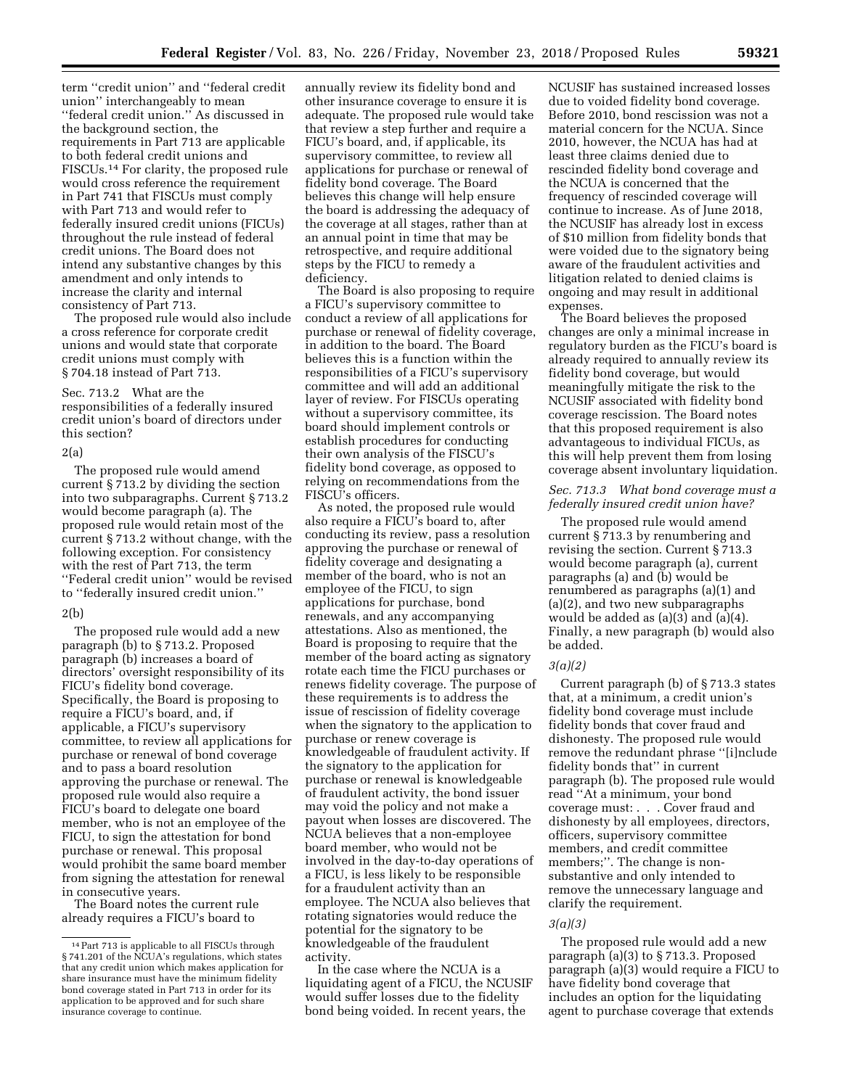term ''credit union'' and ''federal credit union'' interchangeably to mean ''federal credit union.'' As discussed in the background section, the requirements in Part 713 are applicable to both federal credit unions and FISCUs.14 For clarity, the proposed rule would cross reference the requirement in Part 741 that FISCUs must comply with Part 713 and would refer to federally insured credit unions (FICUs) throughout the rule instead of federal credit unions. The Board does not intend any substantive changes by this amendment and only intends to increase the clarity and internal consistency of Part 713.

The proposed rule would also include a cross reference for corporate credit unions and would state that corporate credit unions must comply with § 704.18 instead of Part 713.

# Sec. 713.2 What are the responsibilities of a federally insured credit union's board of directors under this section?

# 2(a)

The proposed rule would amend current § 713.2 by dividing the section into two subparagraphs. Current § 713.2 would become paragraph (a). The proposed rule would retain most of the current § 713.2 without change, with the following exception. For consistency with the rest of Part 713, the term ''Federal credit union'' would be revised to ''federally insured credit union.''

# 2(b)

The proposed rule would add a new paragraph (b) to § 713.2. Proposed paragraph (b) increases a board of directors' oversight responsibility of its FICU's fidelity bond coverage. Specifically, the Board is proposing to require a FICU's board, and, if applicable, a FICU's supervisory committee, to review all applications for purchase or renewal of bond coverage and to pass a board resolution approving the purchase or renewal. The proposed rule would also require a FICU's board to delegate one board member, who is not an employee of the FICU, to sign the attestation for bond purchase or renewal. This proposal would prohibit the same board member from signing the attestation for renewal in consecutive years.

The Board notes the current rule already requires a FICU's board to

annually review its fidelity bond and other insurance coverage to ensure it is adequate. The proposed rule would take that review a step further and require a FICU's board, and, if applicable, its supervisory committee, to review all applications for purchase or renewal of fidelity bond coverage. The Board believes this change will help ensure the board is addressing the adequacy of the coverage at all stages, rather than at an annual point in time that may be retrospective, and require additional steps by the FICU to remedy a deficiency.

The Board is also proposing to require a FICU's supervisory committee to conduct a review of all applications for purchase or renewal of fidelity coverage, in addition to the board. The Board believes this is a function within the responsibilities of a FICU's supervisory committee and will add an additional layer of review. For FISCUs operating without a supervisory committee, its board should implement controls or establish procedures for conducting their own analysis of the FISCU's fidelity bond coverage, as opposed to relying on recommendations from the FISCU's officers.

As noted, the proposed rule would also require a FICU's board to, after conducting its review, pass a resolution approving the purchase or renewal of fidelity coverage and designating a member of the board, who is not an employee of the FICU, to sign applications for purchase, bond renewals, and any accompanying attestations. Also as mentioned, the Board is proposing to require that the member of the board acting as signatory rotate each time the FICU purchases or renews fidelity coverage. The purpose of these requirements is to address the issue of rescission of fidelity coverage when the signatory to the application to purchase or renew coverage is knowledgeable of fraudulent activity. If the signatory to the application for purchase or renewal is knowledgeable of fraudulent activity, the bond issuer may void the policy and not make a payout when losses are discovered. The NCUA believes that a non-employee board member, who would not be involved in the day-to-day operations of a FICU, is less likely to be responsible for a fraudulent activity than an employee. The NCUA also believes that rotating signatories would reduce the potential for the signatory to be knowledgeable of the fraudulent activity.

In the case where the NCUA is a liquidating agent of a FICU, the NCUSIF would suffer losses due to the fidelity bond being voided. In recent years, the

NCUSIF has sustained increased losses due to voided fidelity bond coverage. Before 2010, bond rescission was not a material concern for the NCUA. Since 2010, however, the NCUA has had at least three claims denied due to rescinded fidelity bond coverage and the NCUA is concerned that the frequency of rescinded coverage will continue to increase. As of June 2018, the NCUSIF has already lost in excess of \$10 million from fidelity bonds that were voided due to the signatory being aware of the fraudulent activities and litigation related to denied claims is ongoing and may result in additional expenses.

The Board believes the proposed changes are only a minimal increase in regulatory burden as the FICU's board is already required to annually review its fidelity bond coverage, but would meaningfully mitigate the risk to the NCUSIF associated with fidelity bond coverage rescission. The Board notes that this proposed requirement is also advantageous to individual FICUs, as this will help prevent them from losing coverage absent involuntary liquidation.

# *Sec. 713.3 What bond coverage must a federally insured credit union have?*

The proposed rule would amend current § 713.3 by renumbering and revising the section. Current § 713.3 would become paragraph (a), current paragraphs (a) and (b) would be renumbered as paragraphs (a)(1) and (a)(2), and two new subparagraphs would be added as (a)(3) and (a)(4). Finally, a new paragraph (b) would also be added.

# *3(a)(2)*

Current paragraph (b) of § 713.3 states that, at a minimum, a credit union's fidelity bond coverage must include fidelity bonds that cover fraud and dishonesty. The proposed rule would remove the redundant phrase ''[i]nclude fidelity bonds that'' in current paragraph (b). The proposed rule would read ''At a minimum, your bond coverage must: . . . Cover fraud and dishonesty by all employees, directors, officers, supervisory committee members, and credit committee members;''. The change is nonsubstantive and only intended to remove the unnecessary language and clarify the requirement.

# *3(a)(3)*

The proposed rule would add a new paragraph (a)(3) to § 713.3. Proposed paragraph (a)(3) would require a FICU to have fidelity bond coverage that includes an option for the liquidating agent to purchase coverage that extends

<sup>14</sup>Part 713 is applicable to all FISCUs through § 741.201 of the NCUA's regulations, which states that any credit union which makes application for share insurance must have the minimum fidelity bond coverage stated in Part 713 in order for its application to be approved and for such share insurance coverage to continue.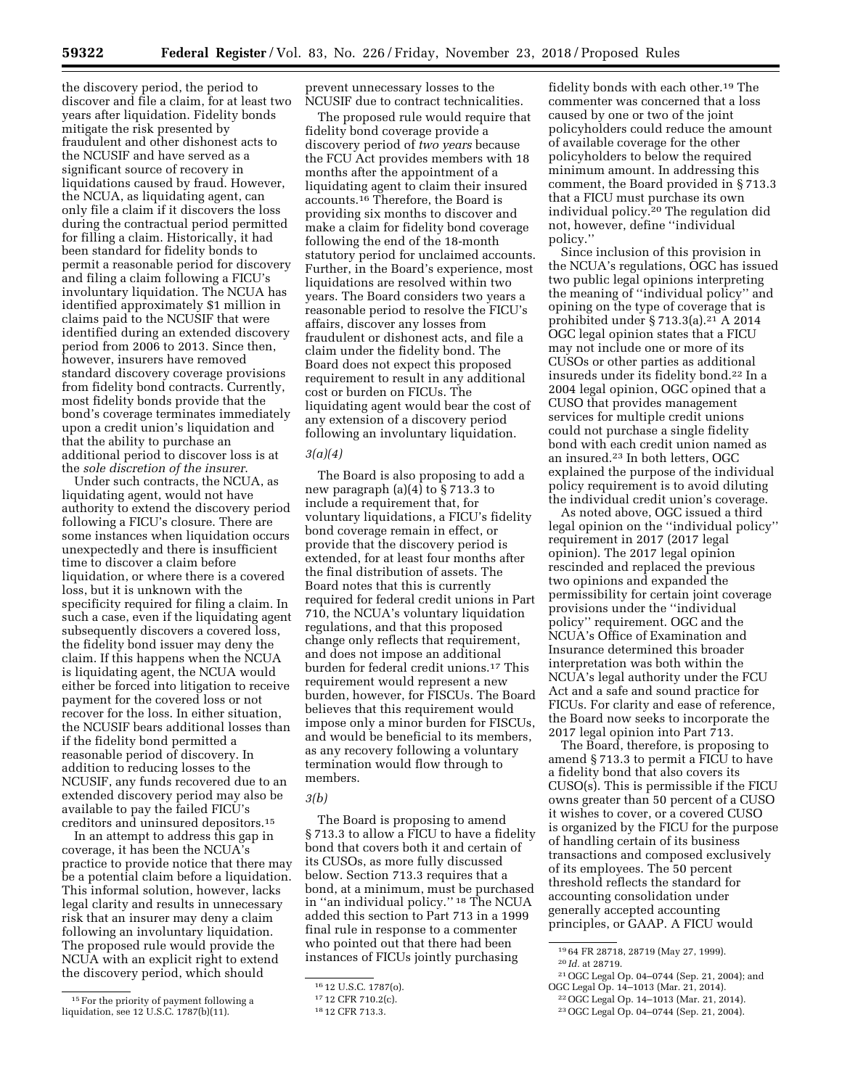the discovery period, the period to discover and file a claim, for at least two years after liquidation. Fidelity bonds mitigate the risk presented by fraudulent and other dishonest acts to the NCUSIF and have served as a significant source of recovery in liquidations caused by fraud. However, the NCUA, as liquidating agent, can only file a claim if it discovers the loss during the contractual period permitted for filling a claim. Historically, it had been standard for fidelity bonds to permit a reasonable period for discovery and filing a claim following a FICU's involuntary liquidation. The NCUA has identified approximately \$1 million in claims paid to the NCUSIF that were identified during an extended discovery period from 2006 to 2013. Since then, however, insurers have removed standard discovery coverage provisions from fidelity bond contracts. Currently, most fidelity bonds provide that the bond's coverage terminates immediately upon a credit union's liquidation and that the ability to purchase an additional period to discover loss is at the *sole discretion of the insurer*.

Under such contracts, the NCUA, as liquidating agent, would not have authority to extend the discovery period following a FICU's closure. There are some instances when liquidation occurs unexpectedly and there is insufficient time to discover a claim before liquidation, or where there is a covered loss, but it is unknown with the specificity required for filing a claim. In such a case, even if the liquidating agent subsequently discovers a covered loss, the fidelity bond issuer may deny the claim. If this happens when the NCUA is liquidating agent, the NCUA would either be forced into litigation to receive payment for the covered loss or not recover for the loss. In either situation, the NCUSIF bears additional losses than if the fidelity bond permitted a reasonable period of discovery. In addition to reducing losses to the NCUSIF, any funds recovered due to an extended discovery period may also be available to pay the failed FICU's creditors and uninsured depositors.15

In an attempt to address this gap in coverage, it has been the NCUA's practice to provide notice that there may be a potential claim before a liquidation. This informal solution, however, lacks legal clarity and results in unnecessary risk that an insurer may deny a claim following an involuntary liquidation. The proposed rule would provide the NCUA with an explicit right to extend the discovery period, which should

prevent unnecessary losses to the NCUSIF due to contract technicalities.

The proposed rule would require that fidelity bond coverage provide a discovery period of *two years* because the FCU Act provides members with 18 months after the appointment of a liquidating agent to claim their insured accounts.16 Therefore, the Board is providing six months to discover and make a claim for fidelity bond coverage following the end of the 18-month statutory period for unclaimed accounts. Further, in the Board's experience, most liquidations are resolved within two years. The Board considers two years a reasonable period to resolve the FICU's affairs, discover any losses from fraudulent or dishonest acts, and file a claim under the fidelity bond. The Board does not expect this proposed requirement to result in any additional cost or burden on FICUs. The liquidating agent would bear the cost of any extension of a discovery period following an involuntary liquidation.

# *3(a)(4)*

The Board is also proposing to add a new paragraph (a)(4) to § 713.3 to include a requirement that, for voluntary liquidations, a FICU's fidelity bond coverage remain in effect, or provide that the discovery period is extended, for at least four months after the final distribution of assets. The Board notes that this is currently required for federal credit unions in Part 710, the NCUA's voluntary liquidation regulations, and that this proposed change only reflects that requirement, and does not impose an additional burden for federal credit unions.17 This requirement would represent a new burden, however, for FISCUs. The Board believes that this requirement would impose only a minor burden for FISCUs, and would be beneficial to its members, as any recovery following a voluntary termination would flow through to members.

# *3(b)*

The Board is proposing to amend § 713.3 to allow a FICU to have a fidelity bond that covers both it and certain of its CUSOs, as more fully discussed below. Section 713.3 requires that a bond, at a minimum, must be purchased in ''an individual policy.'' 18 The NCUA added this section to Part 713 in a 1999 final rule in response to a commenter who pointed out that there had been instances of FICUs jointly purchasing

fidelity bonds with each other.19 The commenter was concerned that a loss caused by one or two of the joint policyholders could reduce the amount of available coverage for the other policyholders to below the required minimum amount. In addressing this comment, the Board provided in § 713.3 that a FICU must purchase its own individual policy.20 The regulation did not, however, define ''individual policy.''

Since inclusion of this provision in the NCUA's regulations, OGC has issued two public legal opinions interpreting the meaning of ''individual policy'' and opining on the type of coverage that is prohibited under  $\S 713.3(a).<sup>21</sup> A 2014$ OGC legal opinion states that a FICU may not include one or more of its CUSOs or other parties as additional insureds under its fidelity bond.22 In a 2004 legal opinion, OGC opined that a CUSO that provides management services for multiple credit unions could not purchase a single fidelity bond with each credit union named as an insured.23 In both letters, OGC explained the purpose of the individual policy requirement is to avoid diluting the individual credit union's coverage.

As noted above, OGC issued a third legal opinion on the ''individual policy'' requirement in 2017 (2017 legal opinion). The 2017 legal opinion rescinded and replaced the previous two opinions and expanded the permissibility for certain joint coverage provisions under the ''individual policy'' requirement. OGC and the NCUA's Office of Examination and Insurance determined this broader interpretation was both within the NCUA's legal authority under the FCU Act and a safe and sound practice for FICUs. For clarity and ease of reference, the Board now seeks to incorporate the 2017 legal opinion into Part 713.

The Board, therefore, is proposing to amend § 713.3 to permit a FICU to have a fidelity bond that also covers its CUSO(s). This is permissible if the FICU owns greater than 50 percent of a CUSO it wishes to cover, or a covered CUSO is organized by the FICU for the purpose of handling certain of its business transactions and composed exclusively of its employees. The 50 percent threshold reflects the standard for accounting consolidation under generally accepted accounting principles, or GAAP. A FICU would

21OGC Legal Op. 04–0744 (Sep. 21, 2004); and OGC Legal Op. 14–1013 (Mar. 21, 2014).

<sup>&</sup>lt;sup>15</sup> For the priority of payment following a liquidation, see 12 U.S.C. 1787(b)(11).

<sup>16</sup> 12 U.S.C. 1787(o).

<sup>17</sup> 12 CFR 710.2(c).

<sup>18</sup> 12 CFR 713.3.

<sup>19</sup> 64 FR 28718, 28719 (May 27, 1999).

<sup>20</sup> *Id.* at 28719.

<sup>22</sup>OGC Legal Op. 14–1013 (Mar. 21, 2014).

<sup>23</sup>OGC Legal Op. 04–0744 (Sep. 21, 2004).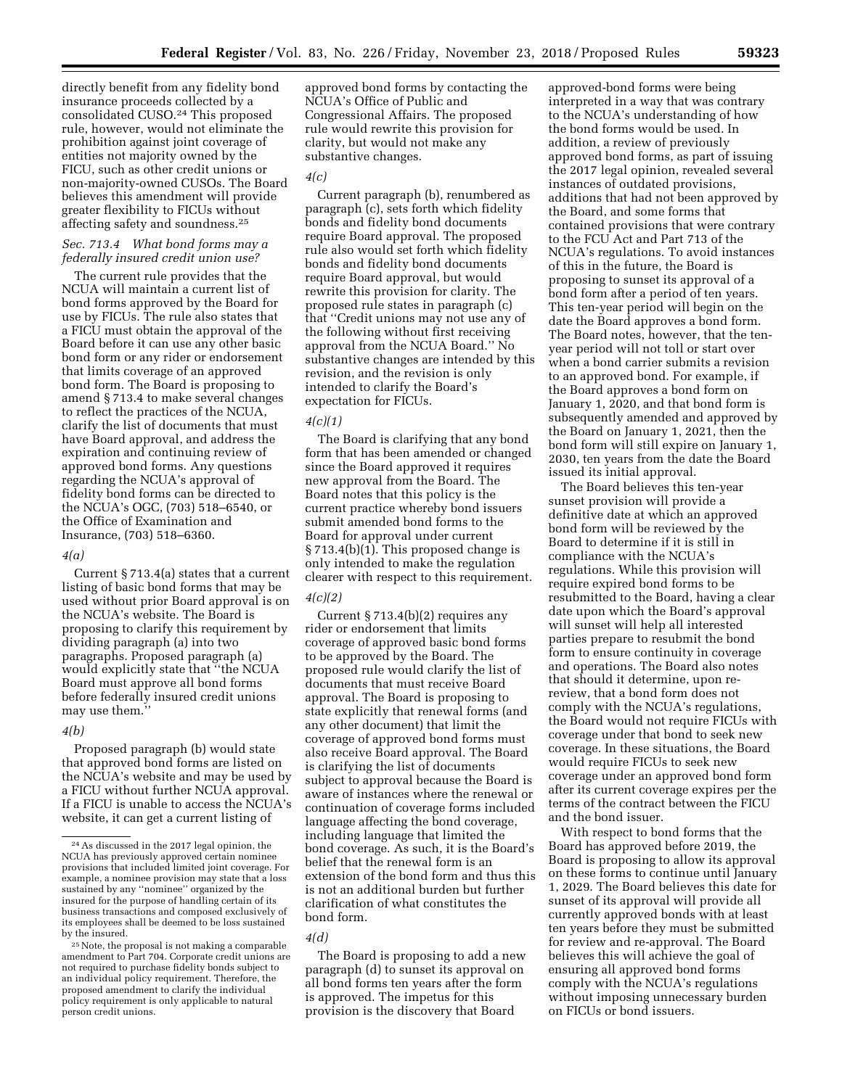directly benefit from any fidelity bond insurance proceeds collected by a consolidated CUSO.24 This proposed rule, however, would not eliminate the prohibition against joint coverage of entities not majority owned by the FICU, such as other credit unions or non-majority-owned CUSOs. The Board believes this amendment will provide greater flexibility to FICUs without affecting safety and soundness.25

# *Sec. 713.4 What bond forms may a federally insured credit union use?*

The current rule provides that the NCUA will maintain a current list of bond forms approved by the Board for use by FICUs. The rule also states that a FICU must obtain the approval of the Board before it can use any other basic bond form or any rider or endorsement that limits coverage of an approved bond form. The Board is proposing to amend § 713.4 to make several changes to reflect the practices of the NCUA, clarify the list of documents that must have Board approval, and address the expiration and continuing review of approved bond forms. Any questions regarding the NCUA's approval of fidelity bond forms can be directed to the NCUA's OGC, (703) 518–6540, or the Office of Examination and Insurance, (703) 518–6360.

# *4(a)*

Current § 713.4(a) states that a current listing of basic bond forms that may be used without prior Board approval is on the NCUA's website. The Board is proposing to clarify this requirement by dividing paragraph (a) into two paragraphs. Proposed paragraph (a) would explicitly state that ''the NCUA Board must approve all bond forms before federally insured credit unions may use them.''

# *4(b)*

Proposed paragraph (b) would state that approved bond forms are listed on the NCUA's website and may be used by a FICU without further NCUA approval. If a FICU is unable to access the NCUA's website, it can get a current listing of

approved bond forms by contacting the NCUA's Office of Public and Congressional Affairs. The proposed rule would rewrite this provision for clarity, but would not make any substantive changes.

# *4(c)*

Current paragraph (b), renumbered as paragraph (c), sets forth which fidelity bonds and fidelity bond documents require Board approval. The proposed rule also would set forth which fidelity bonds and fidelity bond documents require Board approval, but would rewrite this provision for clarity. The proposed rule states in paragraph (c) that ''Credit unions may not use any of the following without first receiving approval from the NCUA Board.'' No substantive changes are intended by this revision, and the revision is only intended to clarify the Board's expectation for FICUs.

#### *4(c)(1)*

The Board is clarifying that any bond form that has been amended or changed since the Board approved it requires new approval from the Board. The Board notes that this policy is the current practice whereby bond issuers submit amended bond forms to the Board for approval under current § 713.4(b)(1). This proposed change is only intended to make the regulation clearer with respect to this requirement.

# *4(c)(2)*

Current  $\S 713.4(b)(2)$  requires any rider or endorsement that limits coverage of approved basic bond forms to be approved by the Board. The proposed rule would clarify the list of documents that must receive Board approval. The Board is proposing to state explicitly that renewal forms (and any other document) that limit the coverage of approved bond forms must also receive Board approval. The Board is clarifying the list of documents subject to approval because the Board is aware of instances where the renewal or continuation of coverage forms included language affecting the bond coverage, including language that limited the bond coverage. As such, it is the Board's belief that the renewal form is an extension of the bond form and thus this is not an additional burden but further clarification of what constitutes the bond form.

#### *4(d)*

The Board is proposing to add a new paragraph (d) to sunset its approval on all bond forms ten years after the form is approved. The impetus for this provision is the discovery that Board

approved-bond forms were being interpreted in a way that was contrary to the NCUA's understanding of how the bond forms would be used. In addition, a review of previously approved bond forms, as part of issuing the 2017 legal opinion, revealed several instances of outdated provisions, additions that had not been approved by the Board, and some forms that contained provisions that were contrary to the FCU Act and Part 713 of the NCUA's regulations. To avoid instances of this in the future, the Board is proposing to sunset its approval of a bond form after a period of ten years. This ten-year period will begin on the date the Board approves a bond form. The Board notes, however, that the tenyear period will not toll or start over when a bond carrier submits a revision to an approved bond. For example, if the Board approves a bond form on January 1, 2020, and that bond form is subsequently amended and approved by the Board on January 1, 2021, then the bond form will still expire on January 1, 2030, ten years from the date the Board issued its initial approval.

The Board believes this ten-year sunset provision will provide a definitive date at which an approved bond form will be reviewed by the Board to determine if it is still in compliance with the NCUA's regulations. While this provision will require expired bond forms to be resubmitted to the Board, having a clear date upon which the Board's approval will sunset will help all interested parties prepare to resubmit the bond form to ensure continuity in coverage and operations. The Board also notes that should it determine, upon rereview, that a bond form does not comply with the NCUA's regulations, the Board would not require FICUs with coverage under that bond to seek new coverage. In these situations, the Board would require FICUs to seek new coverage under an approved bond form after its current coverage expires per the terms of the contract between the FICU and the bond issuer.

With respect to bond forms that the Board has approved before 2019, the Board is proposing to allow its approval on these forms to continue until January 1, 2029. The Board believes this date for sunset of its approval will provide all currently approved bonds with at least ten years before they must be submitted for review and re-approval. The Board believes this will achieve the goal of ensuring all approved bond forms comply with the NCUA's regulations without imposing unnecessary burden on FICUs or bond issuers.

<sup>24</sup>As discussed in the 2017 legal opinion, the NCUA has previously approved certain nominee provisions that included limited joint coverage. For example, a nominee provision may state that a loss sustained by any ''nominee'' organized by the insured for the purpose of handling certain of its business transactions and composed exclusively of its employees shall be deemed to be loss sustained by the insured.

<sup>25</sup>Note, the proposal is not making a comparable amendment to Part 704. Corporate credit unions are not required to purchase fidelity bonds subject to an individual policy requirement. Therefore, the proposed amendment to clarify the individual policy requirement is only applicable to natural person credit unions.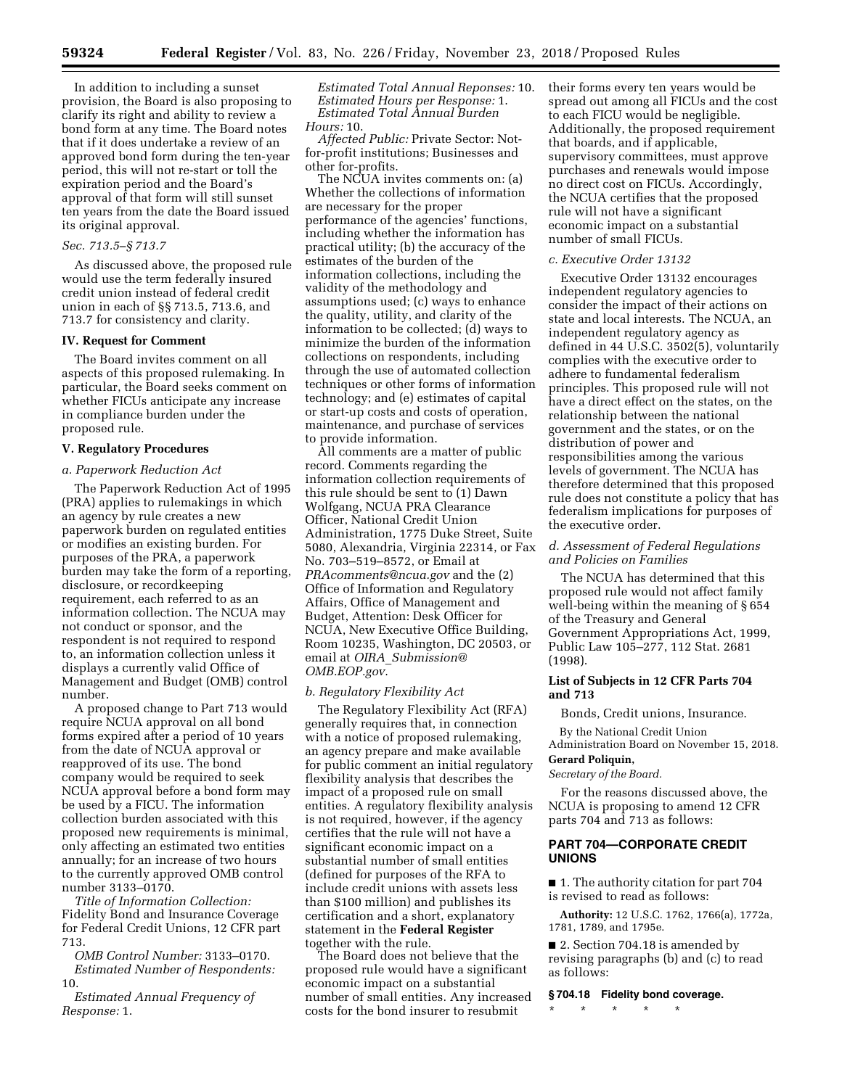In addition to including a sunset provision, the Board is also proposing to clarify its right and ability to review a bond form at any time. The Board notes that if it does undertake a review of an approved bond form during the ten-year period, this will not re-start or toll the expiration period and the Board's approval of that form will still sunset ten years from the date the Board issued its original approval.

# *Sec. 713.5–§ 713.7*

As discussed above, the proposed rule would use the term federally insured credit union instead of federal credit union in each of §§ 713.5, 713.6, and 713.7 for consistency and clarity.

# **IV. Request for Comment**

The Board invites comment on all aspects of this proposed rulemaking. In particular, the Board seeks comment on whether FICUs anticipate any increase in compliance burden under the proposed rule.

# **V. Regulatory Procedures**

#### *a. Paperwork Reduction Act*

The Paperwork Reduction Act of 1995 (PRA) applies to rulemakings in which an agency by rule creates a new paperwork burden on regulated entities or modifies an existing burden. For purposes of the PRA, a paperwork burden may take the form of a reporting, disclosure, or recordkeeping requirement, each referred to as an information collection. The NCUA may not conduct or sponsor, and the respondent is not required to respond to, an information collection unless it displays a currently valid Office of Management and Budget (OMB) control number.

A proposed change to Part 713 would require NCUA approval on all bond forms expired after a period of 10 years from the date of NCUA approval or reapproved of its use. The bond company would be required to seek NCUA approval before a bond form may be used by a FICU. The information collection burden associated with this proposed new requirements is minimal, only affecting an estimated two entities annually; for an increase of two hours to the currently approved OMB control number 3133–0170.

*Title of Information Collection:*  Fidelity Bond and Insurance Coverage for Federal Credit Unions, 12 CFR part 713.

*OMB Control Number:* 3133–0170. *Estimated Number of Respondents:*  10.

*Estimated Annual Frequency of Response:* 1.

*Estimated Total Annual Reponses:* 10. *Estimated Hours per Response:* 1. *Estimated Total Annual Burden Hours:* 10.

*Affected Public:* Private Sector: Notfor-profit institutions; Businesses and other for-profits.

The NCUA invites comments on: (a) Whether the collections of information are necessary for the proper performance of the agencies' functions, including whether the information has practical utility; (b) the accuracy of the estimates of the burden of the information collections, including the validity of the methodology and assumptions used; (c) ways to enhance the quality, utility, and clarity of the information to be collected; (d) ways to minimize the burden of the information collections on respondents, including through the use of automated collection techniques or other forms of information technology; and (e) estimates of capital or start-up costs and costs of operation, maintenance, and purchase of services to provide information.

All comments are a matter of public record. Comments regarding the information collection requirements of this rule should be sent to (1) Dawn Wolfgang, NCUA PRA Clearance Officer, National Credit Union Administration, 1775 Duke Street, Suite 5080, Alexandria, Virginia 22314, or Fax No. 703–519–8572, or Email at *[PRAcomments@ncua.gov](mailto:PRAcomments@ncua.gov)* and the (2) Office of Information and Regulatory Affairs, Office of Management and Budget, Attention: Desk Officer for NCUA, New Executive Office Building, Room 10235, Washington, DC 20503, or email at *OIRA*\_*[Submission@](mailto:OIRA_Submission@OMB.EOP.gov) [OMB.EOP.gov](mailto:OIRA_Submission@OMB.EOP.gov)*.

# *b. Regulatory Flexibility Act*

The Regulatory Flexibility Act (RFA) generally requires that, in connection with a notice of proposed rulemaking, an agency prepare and make available for public comment an initial regulatory flexibility analysis that describes the impact of a proposed rule on small entities. A regulatory flexibility analysis is not required, however, if the agency certifies that the rule will not have a significant economic impact on a substantial number of small entities (defined for purposes of the RFA to include credit unions with assets less than \$100 million) and publishes its certification and a short, explanatory statement in the **Federal Register**  together with the rule.

The Board does not believe that the proposed rule would have a significant economic impact on a substantial number of small entities. Any increased costs for the bond insurer to resubmit

their forms every ten years would be spread out among all FICUs and the cost to each FICU would be negligible. Additionally, the proposed requirement that boards, and if applicable, supervisory committees, must approve purchases and renewals would impose no direct cost on FICUs. Accordingly, the NCUA certifies that the proposed rule will not have a significant economic impact on a substantial number of small FICUs.

# *c. Executive Order 13132*

Executive Order 13132 encourages independent regulatory agencies to consider the impact of their actions on state and local interests. The NCUA, an independent regulatory agency as defined in 44 U.S.C. 3502(5), voluntarily complies with the executive order to adhere to fundamental federalism principles. This proposed rule will not have a direct effect on the states, on the relationship between the national government and the states, or on the distribution of power and responsibilities among the various levels of government. The NCUA has therefore determined that this proposed rule does not constitute a policy that has federalism implications for purposes of the executive order.

# *d. Assessment of Federal Regulations and Policies on Families*

The NCUA has determined that this proposed rule would not affect family well-being within the meaning of § 654 of the Treasury and General Government Appropriations Act, 1999, Public Law 105–277, 112 Stat. 2681 (1998).

# **List of Subjects in 12 CFR Parts 704 and 713**

Bonds, Credit unions, Insurance.

By the National Credit Union Administration Board on November 15, 2018.

#### **Gerard Poliquin,**

*Secretary of the Board.* 

For the reasons discussed above, the NCUA is proposing to amend 12 CFR parts 704 and 713 as follows:

# **PART 704—CORPORATE CREDIT UNIONS**

■ 1. The authority citation for part 704 is revised to read as follows:

**Authority:** 12 U.S.C. 1762, 1766(a), 1772a, 1781, 1789, and 1795e.

■ 2. Section 704.18 is amended by revising paragraphs (b) and (c) to read as follows:

#### **§ 704.18 Fidelity bond coverage.**

\* \* \* \* \*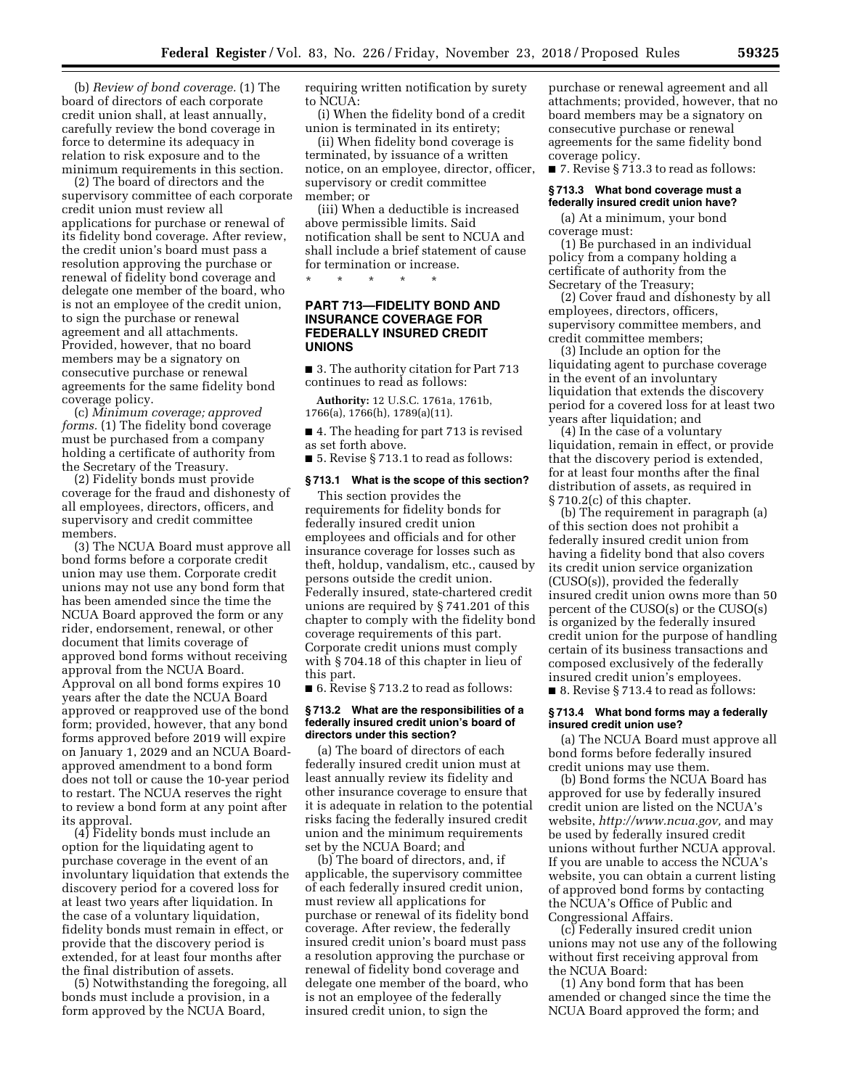(b) *Review of bond coverage.* (1) The board of directors of each corporate credit union shall, at least annually, carefully review the bond coverage in force to determine its adequacy in relation to risk exposure and to the minimum requirements in this section.

(2) The board of directors and the supervisory committee of each corporate credit union must review all applications for purchase or renewal of its fidelity bond coverage. After review, the credit union's board must pass a resolution approving the purchase or renewal of fidelity bond coverage and delegate one member of the board, who is not an employee of the credit union, to sign the purchase or renewal agreement and all attachments. Provided, however, that no board members may be a signatory on consecutive purchase or renewal agreements for the same fidelity bond coverage policy.

(c) *Minimum coverage; approved forms.* (1) The fidelity bond coverage must be purchased from a company holding a certificate of authority from the Secretary of the Treasury.

(2) Fidelity bonds must provide coverage for the fraud and dishonesty of all employees, directors, officers, and supervisory and credit committee members.

(3) The NCUA Board must approve all bond forms before a corporate credit union may use them. Corporate credit unions may not use any bond form that has been amended since the time the NCUA Board approved the form or any rider, endorsement, renewal, or other document that limits coverage of approved bond forms without receiving approval from the NCUA Board. Approval on all bond forms expires 10 years after the date the NCUA Board approved or reapproved use of the bond form; provided, however, that any bond forms approved before 2019 will expire on January 1, 2029 and an NCUA Boardapproved amendment to a bond form does not toll or cause the 10-year period to restart. The NCUA reserves the right to review a bond form at any point after its approval.

(4) Fidelity bonds must include an option for the liquidating agent to purchase coverage in the event of an involuntary liquidation that extends the discovery period for a covered loss for at least two years after liquidation. In the case of a voluntary liquidation, fidelity bonds must remain in effect, or provide that the discovery period is extended, for at least four months after the final distribution of assets.

(5) Notwithstanding the foregoing, all bonds must include a provision, in a form approved by the NCUA Board,

requiring written notification by surety to NCUA:

(i) When the fidelity bond of a credit union is terminated in its entirety;

(ii) When fidelity bond coverage is terminated, by issuance of a written notice, on an employee, director, officer, supervisory or credit committee member; or

(iii) When a deductible is increased above permissible limits. Said notification shall be sent to NCUA and shall include a brief statement of cause for termination or increase.

\* \* \* \* \*

# **PART 713—FIDELITY BOND AND INSURANCE COVERAGE FOR FEDERALLY INSURED CREDIT UNIONS**

■ 3. The authority citation for Part 713 continues to read as follows:

**Authority:** 12 U.S.C. 1761a, 1761b, 1766(a), 1766(h), 1789(a)(11).

■ 4. The heading for part 713 is revised as set forth above.

■ 5. Revise § 713.1 to read as follows:

# **§ 713.1 What is the scope of this section?**

This section provides the requirements for fidelity bonds for federally insured credit union employees and officials and for other insurance coverage for losses such as theft, holdup, vandalism, etc., caused by persons outside the credit union. Federally insured, state-chartered credit unions are required by § 741.201 of this chapter to comply with the fidelity bond coverage requirements of this part. Corporate credit unions must comply with § 704.18 of this chapter in lieu of this part.

■ 6. Revise § 713.2 to read as follows:

#### **§ 713.2 What are the responsibilities of a federally insured credit union's board of directors under this section?**

(a) The board of directors of each federally insured credit union must at least annually review its fidelity and other insurance coverage to ensure that it is adequate in relation to the potential risks facing the federally insured credit union and the minimum requirements set by the NCUA Board; and

(b) The board of directors, and, if applicable, the supervisory committee of each federally insured credit union, must review all applications for purchase or renewal of its fidelity bond coverage. After review, the federally insured credit union's board must pass a resolution approving the purchase or renewal of fidelity bond coverage and delegate one member of the board, who is not an employee of the federally insured credit union, to sign the

purchase or renewal agreement and all attachments; provided, however, that no board members may be a signatory on consecutive purchase or renewal agreements for the same fidelity bond coverage policy.

■ 7. Revise § 713.3 to read as follows:

# **§ 713.3 What bond coverage must a federally insured credit union have?**

(a) At a minimum, your bond coverage must:

(1) Be purchased in an individual policy from a company holding a certificate of authority from the Secretary of the Treasury;

(2) Cover fraud and dishonesty by all employees, directors, officers, supervisory committee members, and credit committee members;

(3) Include an option for the liquidating agent to purchase coverage in the event of an involuntary liquidation that extends the discovery period for a covered loss for at least two years after liquidation; and

(4) In the case of a voluntary liquidation, remain in effect, or provide that the discovery period is extended, for at least four months after the final distribution of assets, as required in § 710.2(c) of this chapter.

(b) The requirement in paragraph (a) of this section does not prohibit a federally insured credit union from having a fidelity bond that also covers its credit union service organization (CUSO(s)), provided the federally insured credit union owns more than 50 percent of the CUSO(s) or the CUSO(s) is organized by the federally insured credit union for the purpose of handling certain of its business transactions and composed exclusively of the federally insured credit union's employees. ■ 8. Revise § 713.4 to read as follows:

#### **§ 713.4 What bond forms may a federally insured credit union use?**

(a) The NCUA Board must approve all bond forms before federally insured credit unions may use them.

(b) Bond forms the NCUA Board has approved for use by federally insured credit union are listed on the NCUA's website, *[http://www.ncua.gov,](http://www.ncua.gov)* and may be used by federally insured credit unions without further NCUA approval. If you are unable to access the NCUA's website, you can obtain a current listing of approved bond forms by contacting the NCUA's Office of Public and Congressional Affairs.

(c) Federally insured credit union unions may not use any of the following without first receiving approval from the NCUA Board:

(1) Any bond form that has been amended or changed since the time the NCUA Board approved the form; and